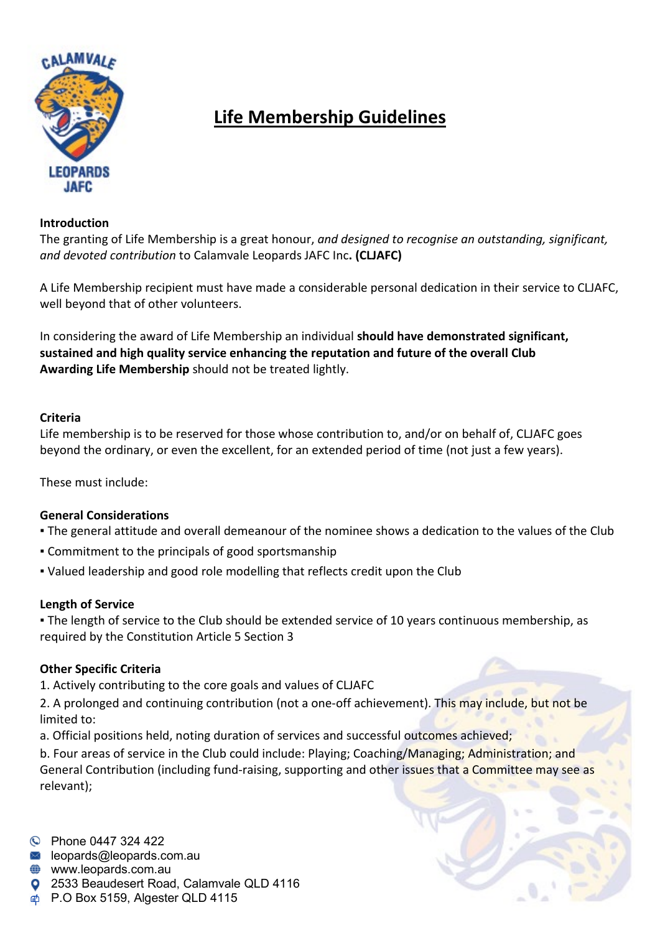

# **Life Membership Guidelines**

#### **Introduction**

The granting of Life Membership is a great honour, *and designed to recognise an outstanding, significant, and devoted contribution* to Calamvale Leopards JAFC Inc**. (CLJAFC)** 

A Life Membership recipient must have made a considerable personal dedication in their service to CLJAFC, well beyond that of other volunteers.

In considering the award of Life Membership an individual **should have demonstrated significant, sustained and high quality service enhancing the reputation and future of the overall Club Awarding Life Membership** should not be treated lightly.

## **Criteria**

Life membership is to be reserved for those whose contribution to, and/or on behalf of, CLJAFC goes beyond the ordinary, or even the excellent, for an extended period of time (not just a few years).

These must include:

## **General Considerations**

- The general attitude and overall demeanour of the nominee shows a dedication to the values of the Club
- Commitment to the principals of good sportsmanship
- Valued leadership and good role modelling that reflects credit upon the Club

#### **Length of Service**

▪ The length of service to the Club should be extended service of 10 years continuous membership, as required by the Constitution Article 5 Section 3

## **Other Specific Criteria**

1. Actively contributing to the core goals and values of CLJAFC

2. A prolonged and continuing contribution (not a one-off achievement). This may include, but not be limited to:

a. Official positions held, noting duration of services and successful outcomes achieved;

b. Four areas of service in the Club could include: Playing; Coaching/Managing; Administration; and General Contribution (including fund-raising, supporting and other issues that a Committee may see as relevant);

C Phone 0447 324 422

- $\blacksquare$  leopards@leopards.com.au
- **<sup>●</sup>** www.leopards.com.au
- **Q** 2533 Beaudesert Road, Calamvale QLD 4116
- P.O Box 5159, Algester QLD 4115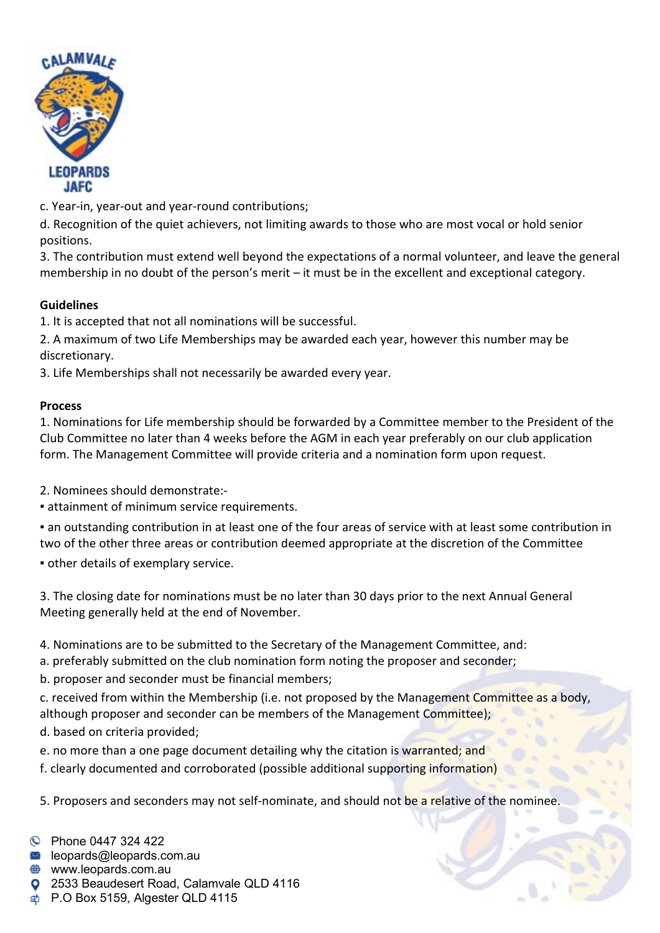

c. Year-in, year-out and year-round contributions;

d. Recognition of the quiet achievers, not limiting awards to those who are most vocal or hold senior positions.

3. The contribution must extend well beyond the expectations of a normal volunteer, and leave the general membership in no doubt of the person's merit – it must be in the excellent and exceptional category.

# **Guidelines**

1. It is accepted that not all nominations will be successful.

2. A maximum of two Life Memberships may be awarded each year, however this number may be discretionary.

3. Life Memberships shall not necessarily be awarded every year.

## **Process**

1. Nominations for Life membership should be forwarded by a Committee member to the President of the Club Committee no later than 4 weeks before the AGM in each year preferably on our club application form. The Management Committee will provide criteria and a nomination form upon request.

2. Nominees should demonstrate:-

▪ attainment of minimum service requirements.

▪ an outstanding contribution in at least one of the four areas of service with at least some contribution in two of the other three areas or contribution deemed appropriate at the discretion of the Committee

**• other details of exemplary service.** 

3. The closing date for nominations must be no later than 30 days prior to the next Annual General Meeting generally held at the end of November.

- 4. Nominations are to be submitted to the Secretary of the Management Committee, and:
- a. preferably submitted on the club nomination form noting the proposer and seconder;
- b. proposer and seconder must be financial members;
- c. received from within the Membership (i.e. not proposed by the Management Committee as a body, although proposer and seconder can be members of the Management Committee);
- d. based on criteria provided;
- e. no more than a one page document detailing why the citation is warranted; and
- f. clearly documented and corroborated (possible additional supporting information)

5. Proposers and seconders may not self-nominate, and should not be a relative of the nominee.

- C Phone 0447 324 422
- $\blacksquare$  leopards@leopards.com.au
- **<sup>●</sup>** www.leopards.com.au
- **Q** 2533 Beaudesert Road, Calamvale QLD 4116
- P.O Box 5159, Algester QLD 4115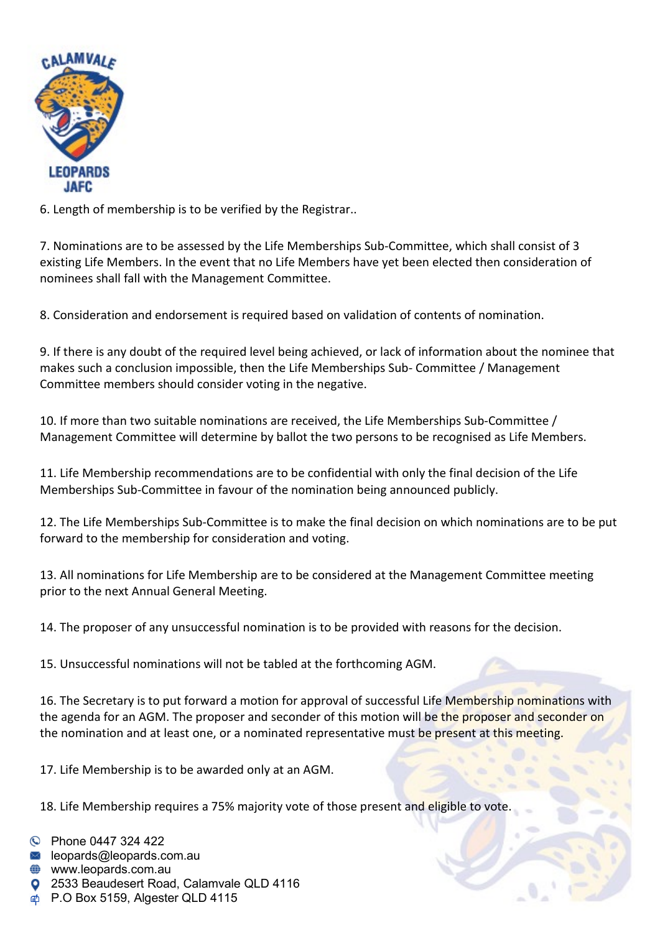

6. Length of membership is to be verified by the Registrar..

7. Nominations are to be assessed by the Life Memberships Sub-Committee, which shall consist of 3 existing Life Members. In the event that no Life Members have yet been elected then consideration of nominees shall fall with the Management Committee.

8. Consideration and endorsement is required based on validation of contents of nomination.

9. If there is any doubt of the required level being achieved, or lack of information about the nominee that makes such a conclusion impossible, then the Life Memberships Sub- Committee / Management Committee members should consider voting in the negative.

10. If more than two suitable nominations are received, the Life Memberships Sub-Committee / Management Committee will determine by ballot the two persons to be recognised as Life Members.

11. Life Membership recommendations are to be confidential with only the final decision of the Life Memberships Sub-Committee in favour of the nomination being announced publicly.

12. The Life Memberships Sub-Committee is to make the final decision on which nominations are to be put forward to the membership for consideration and voting.

13. All nominations for Life Membership are to be considered at the Management Committee meeting prior to the next Annual General Meeting.

14. The proposer of any unsuccessful nomination is to be provided with reasons for the decision.

15. Unsuccessful nominations will not be tabled at the forthcoming AGM.

16. The Secretary is to put forward a motion for approval of successful Life Membership nominations with the agenda for an AGM. The proposer and seconder of this motion will be the proposer and seconder on the nomination and at least one, or a nominated representative must be present at this meeting.

17. Life Membership is to be awarded only at an AGM.

18. Life Membership requires a 75% majority vote of those present and eligible to vote

- C Phone 0447 324 422
- $\blacksquare$  leopards@leopards.com.au
- **<sup>●</sup>** www.leopards.com.au
- **Q** 2533 Beaudesert Road, Calamvale QLD 4116
- P.O Box 5159, Algester QLD 4115